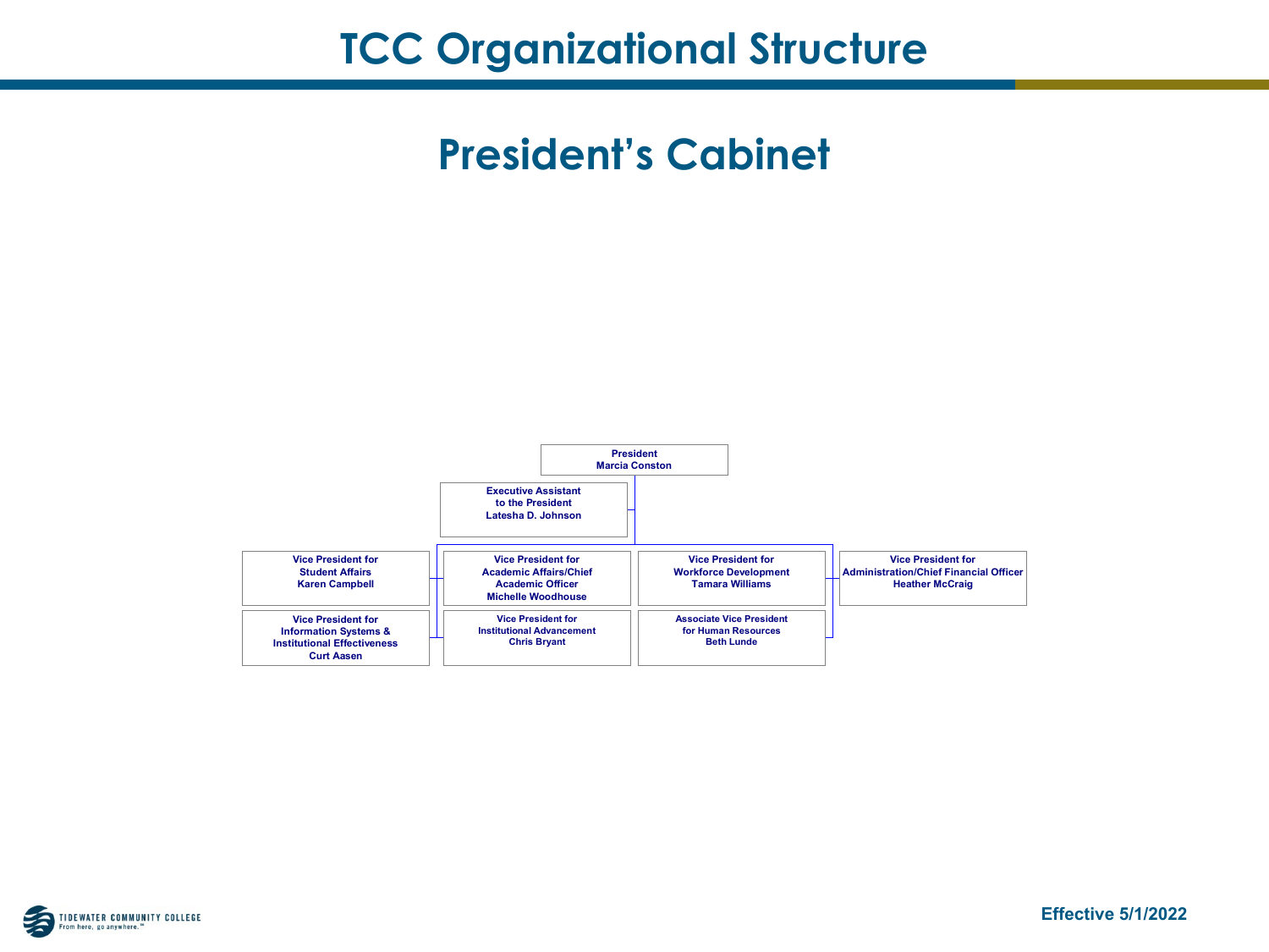



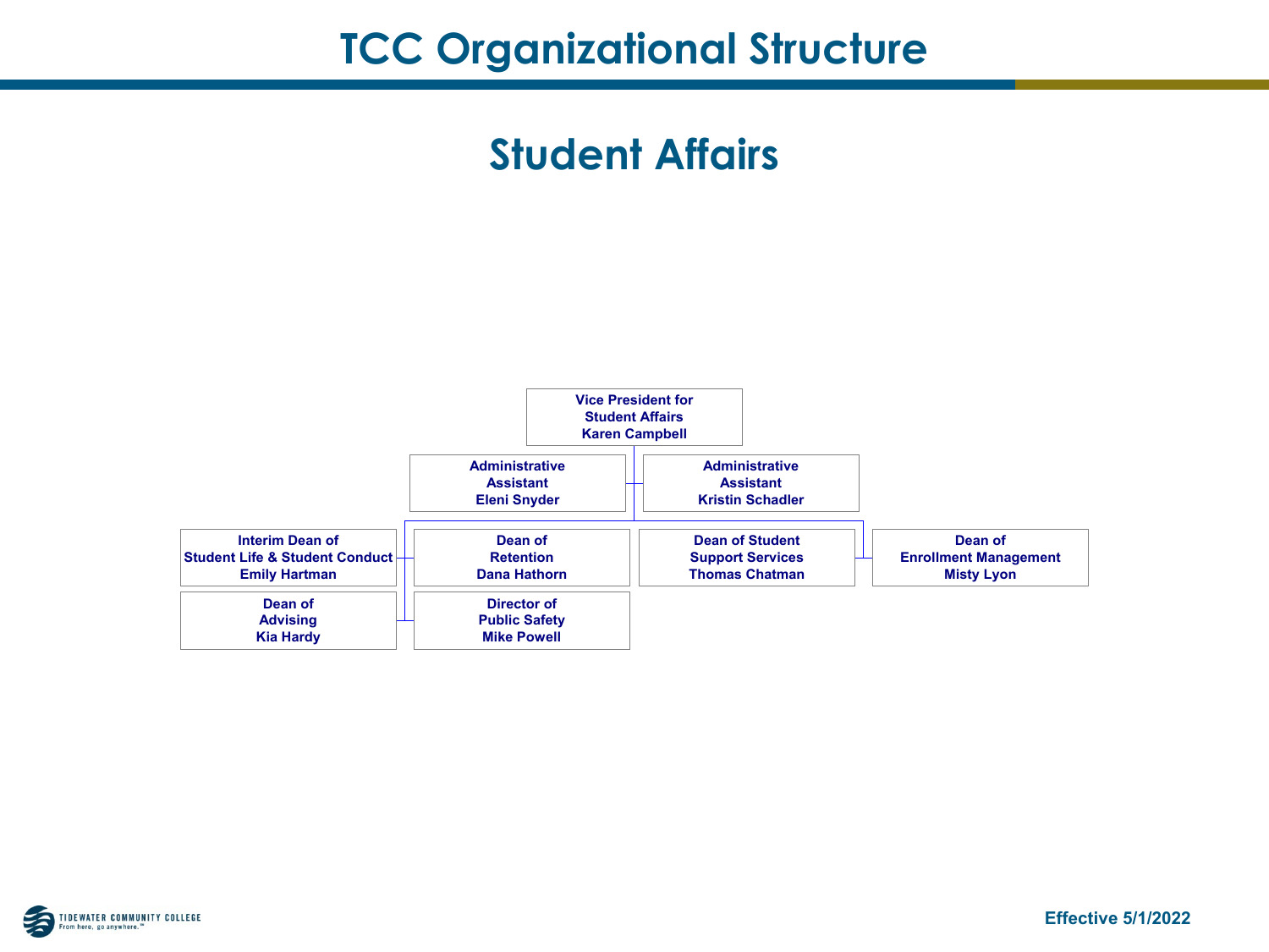### **Student Affairs**



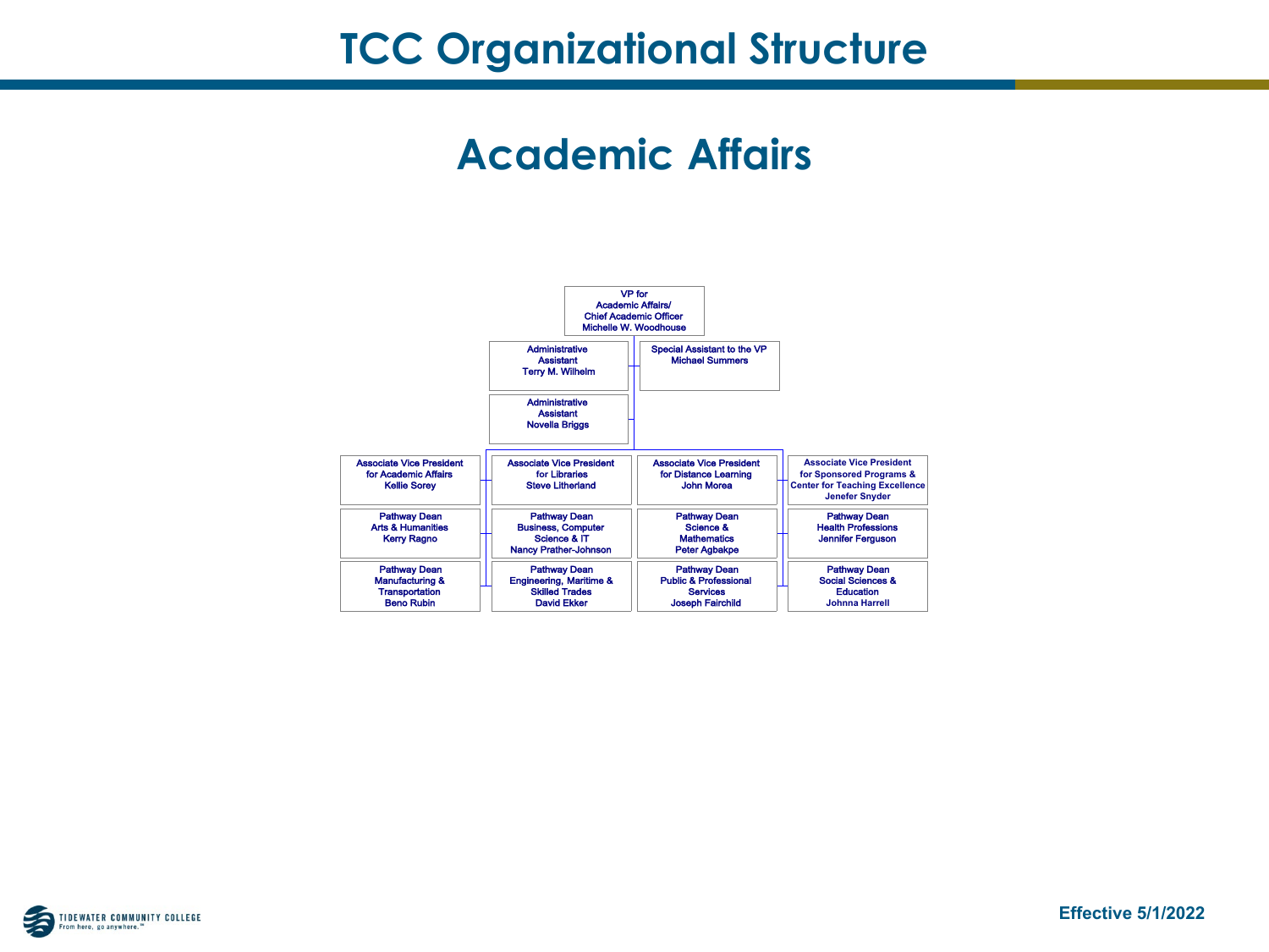#### **Academic Affairs**



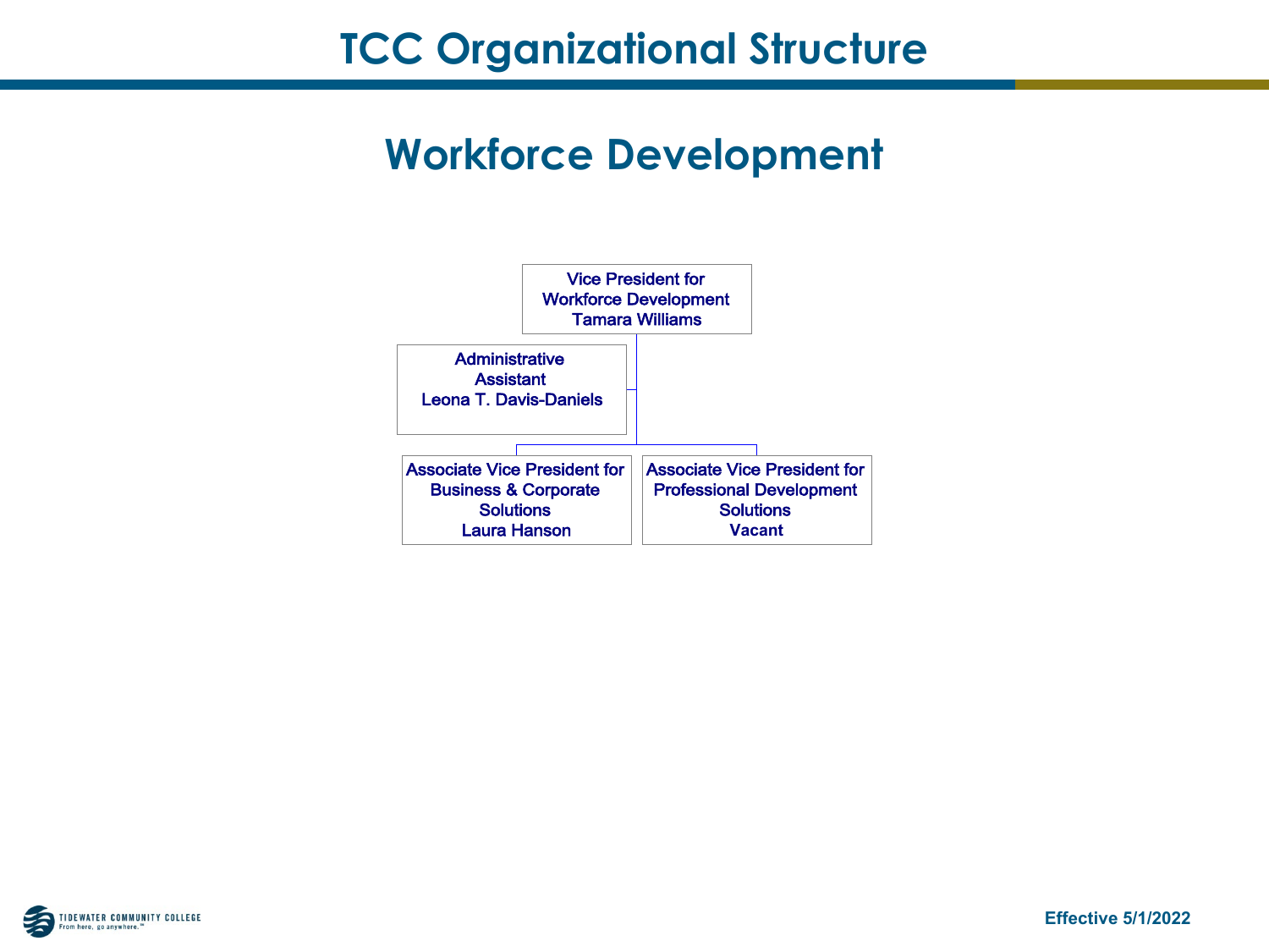## **Workforce Development**



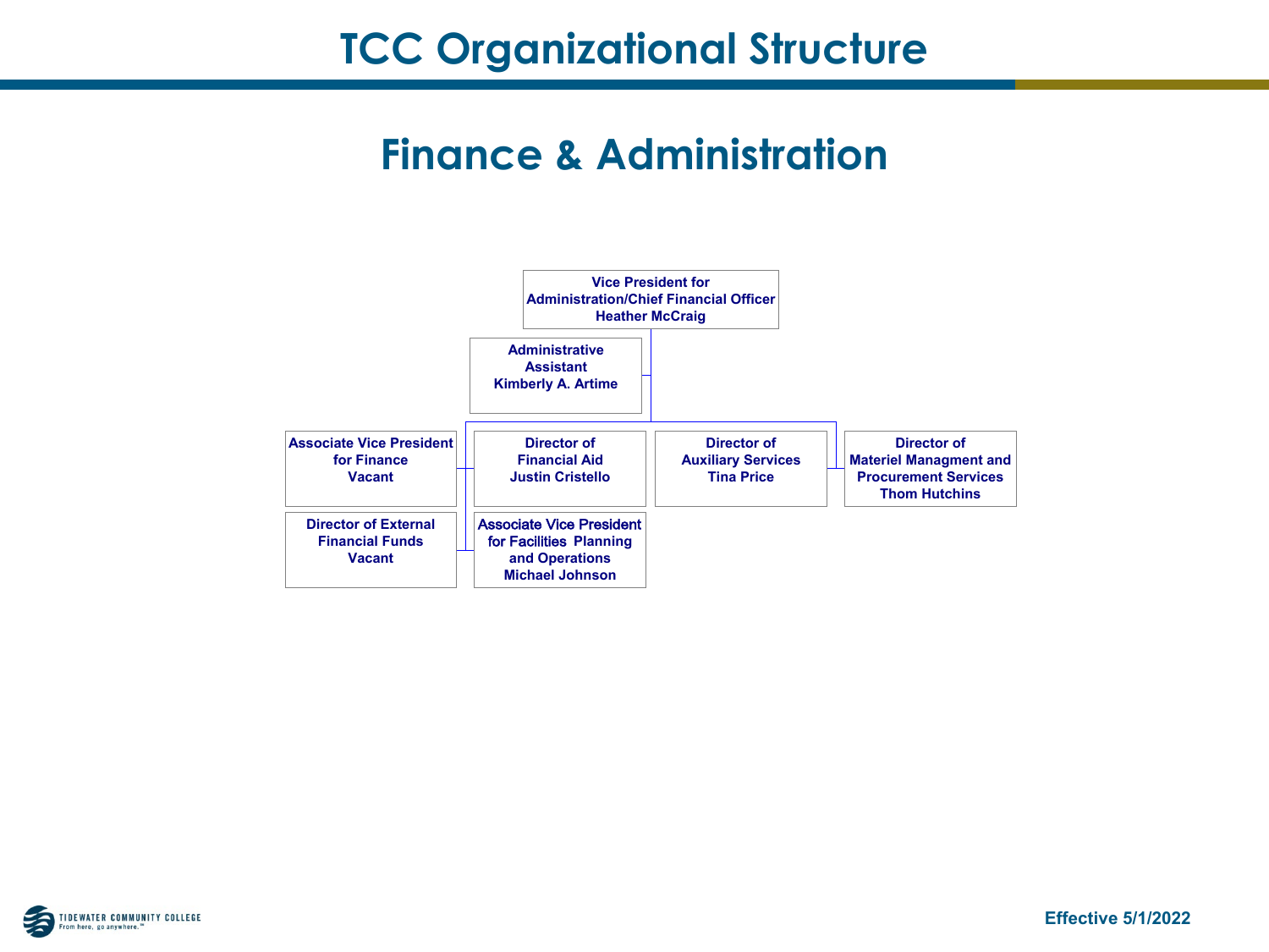#### **Finance & Administration**



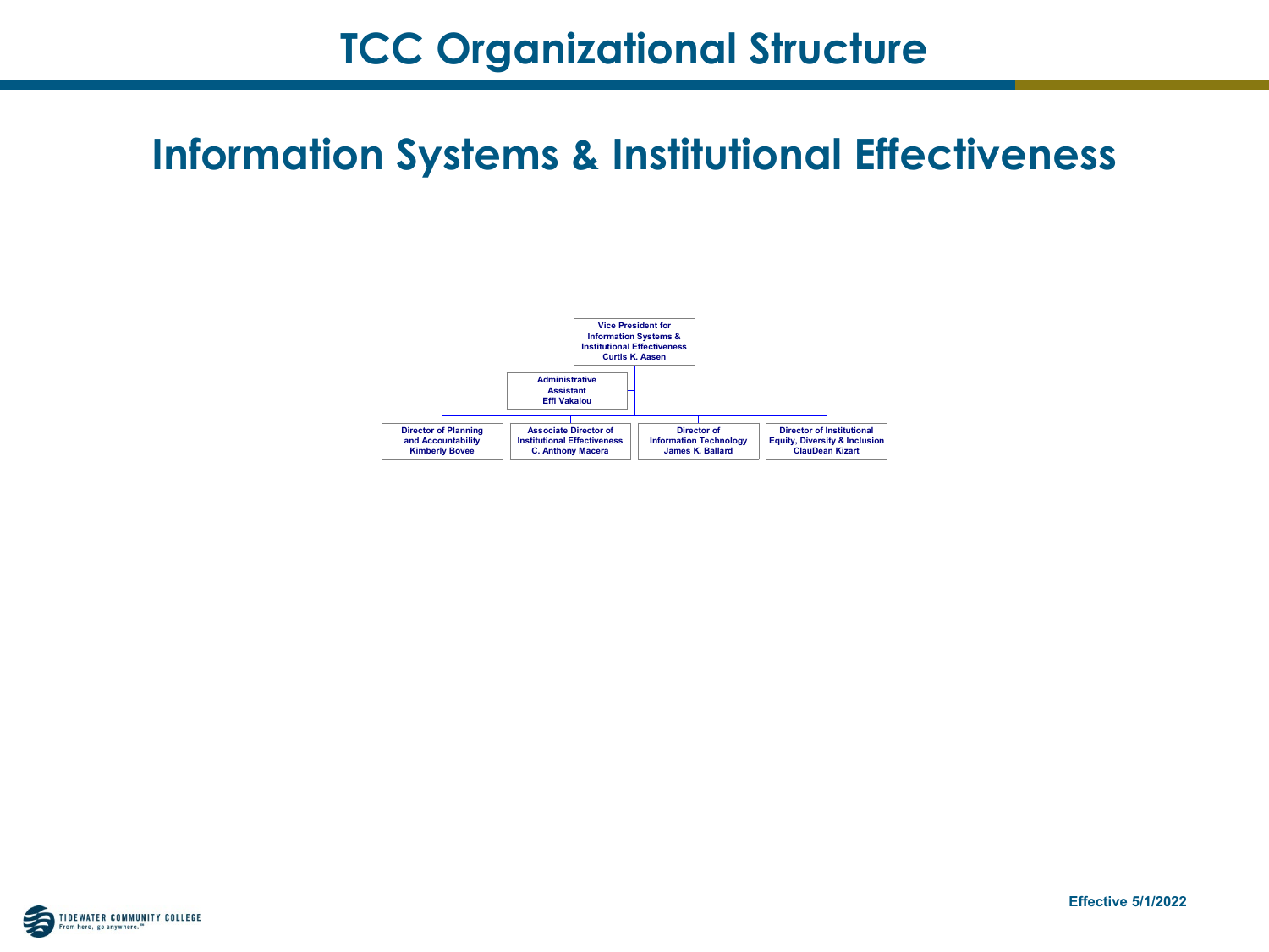# **Information Systems & Institutional Effectiveness**



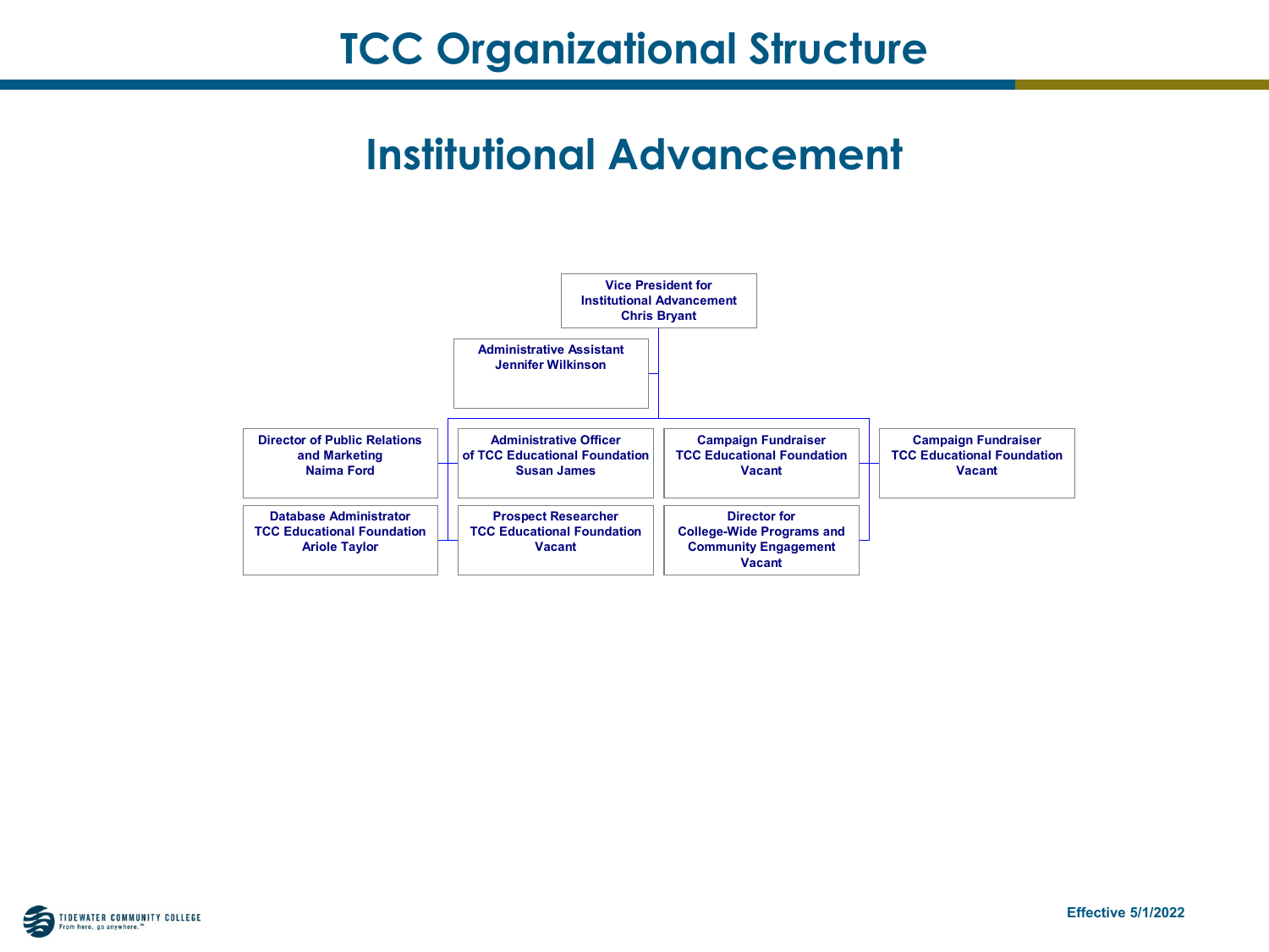# **Institutional Advancement**